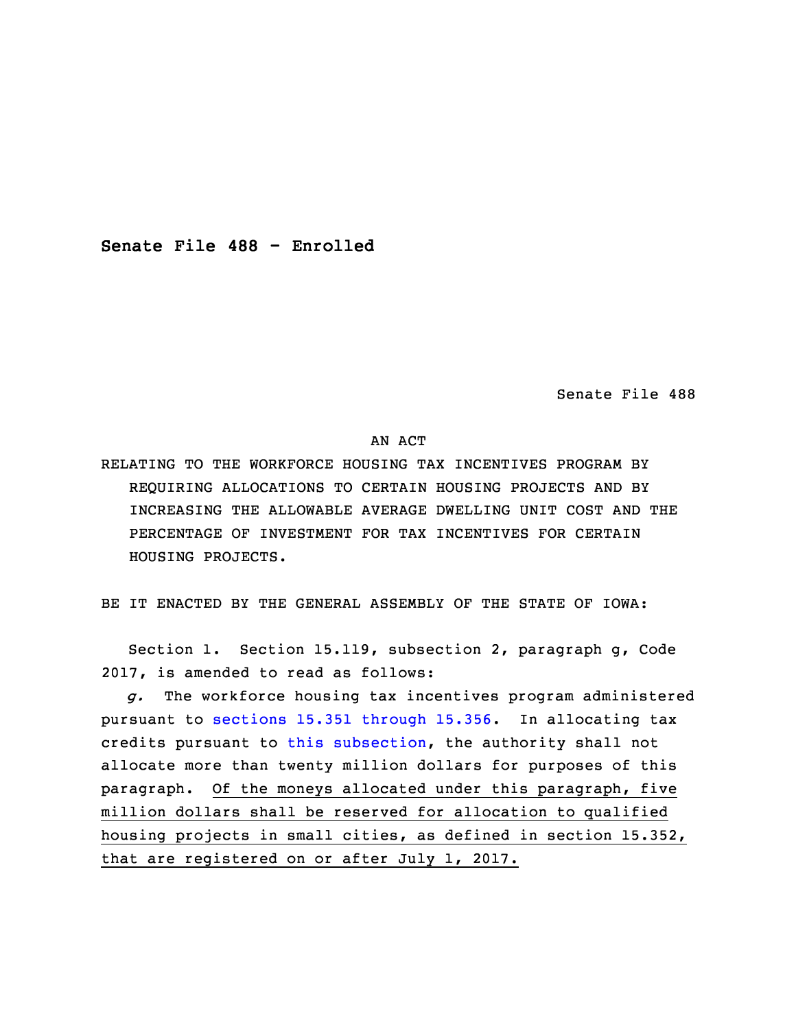**Senate File 488 - Enrolled**

Senate File 488

AN ACT

RELATING TO THE WORKFORCE HOUSING TAX INCENTIVES PROGRAM BY REQUIRING ALLOCATIONS TO CERTAIN HOUSING PROJECTS AND BY INCREASING THE ALLOWABLE AVERAGE DWELLING UNIT COST AND THE PERCENTAGE OF INVESTMENT FOR TAX INCENTIVES FOR CERTAIN HOUSING PROJECTS.

BE IT ENACTED BY THE GENERAL ASSEMBLY OF THE STATE OF IOWA:

 Section 1. Section 15.119, subsection 2, paragraph g, Code 2017, is amended to read as follows:

3 *g.* The workforce housing tax incentives program administered pursuant to sections 15.351 [through](https://www.legis.iowa.gov/docs/code/2017/15.351.pdf) 15.356. In allocating tax credits pursuant to this [subsection](https://www.legis.iowa.gov/docs/code/2017/15.119.pdf), the authority shall not allocate more than twenty million dollars for purposes of this paragraph. Of the moneys allocated under this paragraph, five million dollars shall be reserved for allocation to qualified housing projects in small cities, as defined in section 15.352, that are registered on or after July 1, 2017.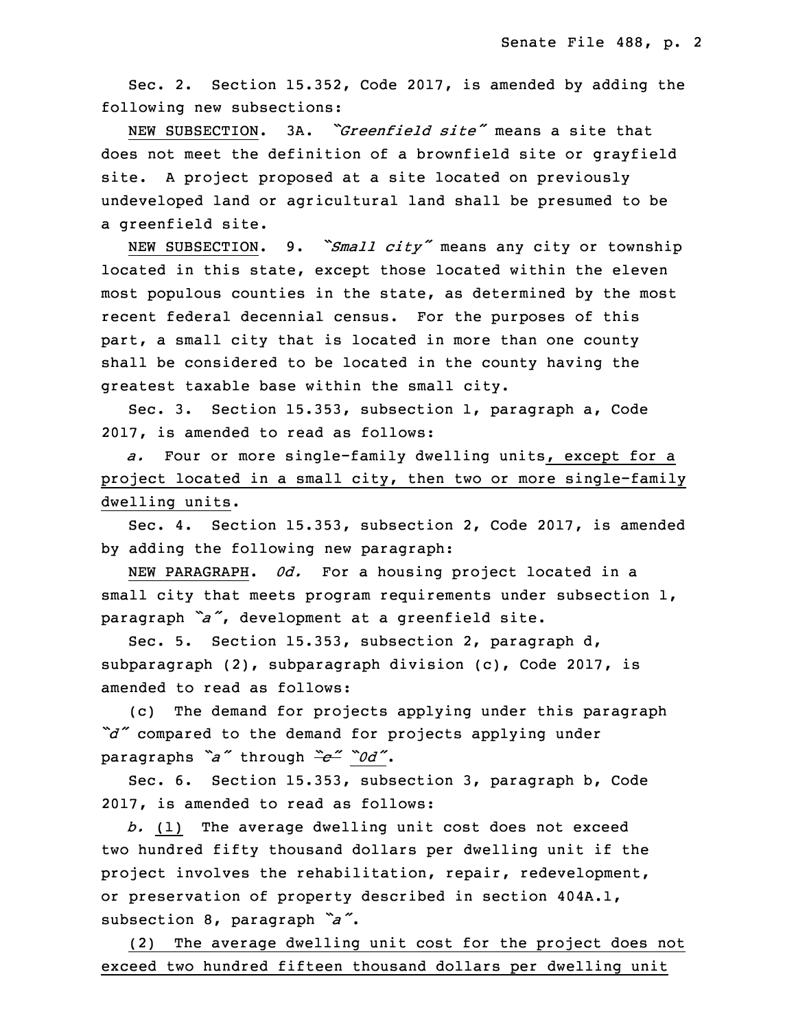Sec. 2. Section 15.352, Code 2017, is amended by adding the following new subsections:

13 NEW SUBSECTION. 3A. *"Greenfield site"* means <sup>a</sup> site that does not meet the definition of <sup>a</sup> brownfield site or grayfield site. A project proposed at a site located on previously undeveloped land or agricultural land shall be presumed to be a greenfield site.

NEW SUBSECTION. 9. *"Small city"* means any city or township located in this state, except those located within the eleven most populous counties in the state, as determined by the most recent federal decennial census. For the purposes of this part, <sup>a</sup> small city that is located in more than one county shall be considered to be located in the county having the greatest taxable base within the small city.

Sec. 3. Section 15.353, subsection 1, paragraph a, Code 2017, is amended to read as follows:

a. Four or more single-family dwelling units, except for a project located in a small city, then two or more single-family dwelling units.

Sec. 4. Section 15.353, subsection 2, Code 2017, is amended by adding the following new paragraph:

NEW PARAGRAPH. *0d.* For a housing project located in a small city that meets program requirements under subsection  $1$ , paragraph "a", development at a greenfield site.

Sec. 5. Section 15.353, subsection 2, paragraph d, subparagraph (2), subparagraph division (c), Code 2017, is amended to read as follows:

(c) The demand for projects applying under this paragraph *"d"* compared to the demand for projects applying under <sup>5</sup> paragraphs *"a"* through *"c" "0d"*.

Sec. 6. Section 15.353, subsection 3, paragraph b, Code 2017, is amended to read as follows:

8 *b.* (1) The average dwelling unit cost does not exceed two hundred fifty thousand dollars per dwelling unit if the project involves the rehabilitation, repair, redevelopment, or preservation of property described in section 404A.1, subsection 8, paragraph *"a"*.

(2) The average dwelling unit cost for the project does not exceed two hundred fifteen thousand dollars per dwelling unit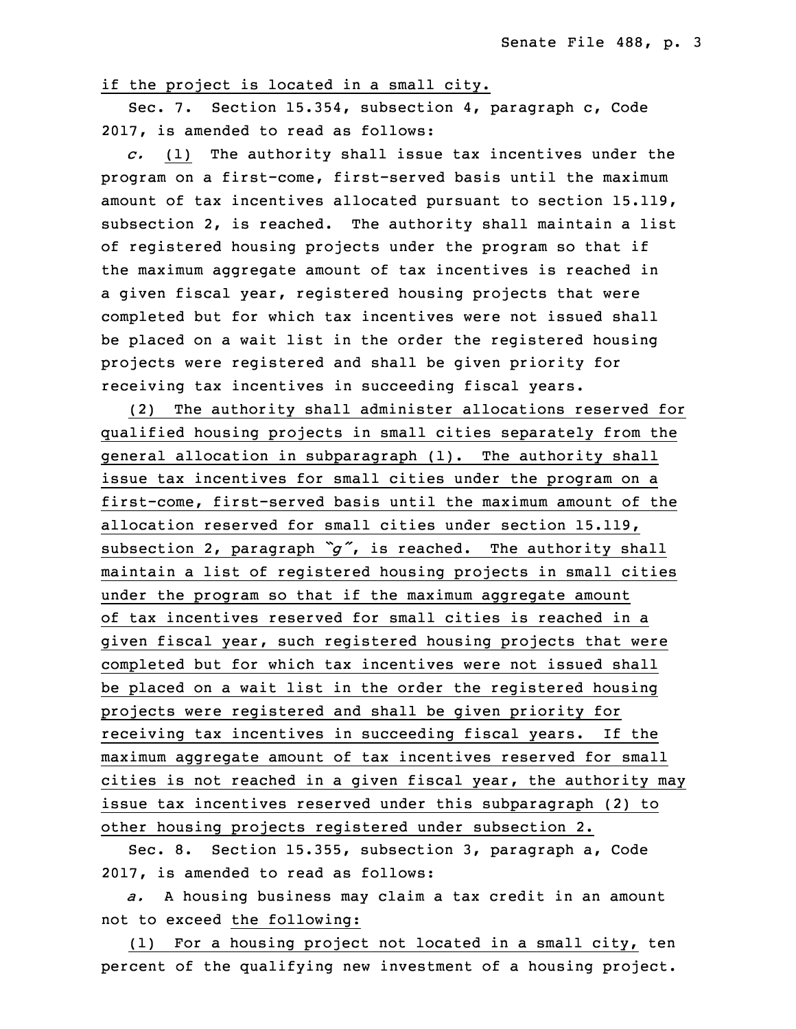if the project is located in a small city.

Sec. 7. Section 15.354, subsection 4, paragraph c, Code 2017, is amended to read as follows:

18 *c.* (1) The authority shall issue tax incentives under the program on a first-come, first-served basis until the maximum amount of tax incentives allocated pursuant to section 15.119, subsection 2, is reached. The authority shall maintain <sup>a</sup> list of registered housing projects under the program so that if the maximum aggregate amount of tax incentives is reached in <sup>a</sup> given fiscal year, registered housing projects that were completed but for which tax incentives were not issued shall be placed on a wait list in the order the registered housing projects were reqistered and shall be given priority for receiving tax incentives in succeeding fiscal years.

29 (2) The authority shall administer allocations reserved for qualified housing projects in small cities separately from the general allocation in subparagraph (1). The authority shall issue tax incentives for small cities under the program on a first-come, first-served basis until the maximum amount of the allocation reserved for small cities under section 15.119, subsection 2, paragraph  $\tilde{g}$ , is reached. The authority shall maintain <sup>a</sup> list of registered housing projects in small cities under the program so that if the maximum aggregate amount of tax incentives reserved for small cities is reached in a given fiscal year, such registered housing projects that were completed but for which tax incentives were not issued shall be placed on a wait list in the order the registered housing projects were registered and shall be given priority for receiving tax incentives in succeeding fiscal years. If the maximum aggregate amount of tax incentives reserved for small cities is not reached in a given fiscal year, the authority may issue tax incentives reserved under this subparagraph (2) to other housing projects registered under subsection 2.

Sec. 8. Section 15.355, subsection 3, paragraph a, Code 2017, is amended to read as follows:

a. A housing business may claim a tax credit in an amount not to exceed the following:

(1) For a housing project not located in a small city, ten percent of the qualifying new investment of a housing project.